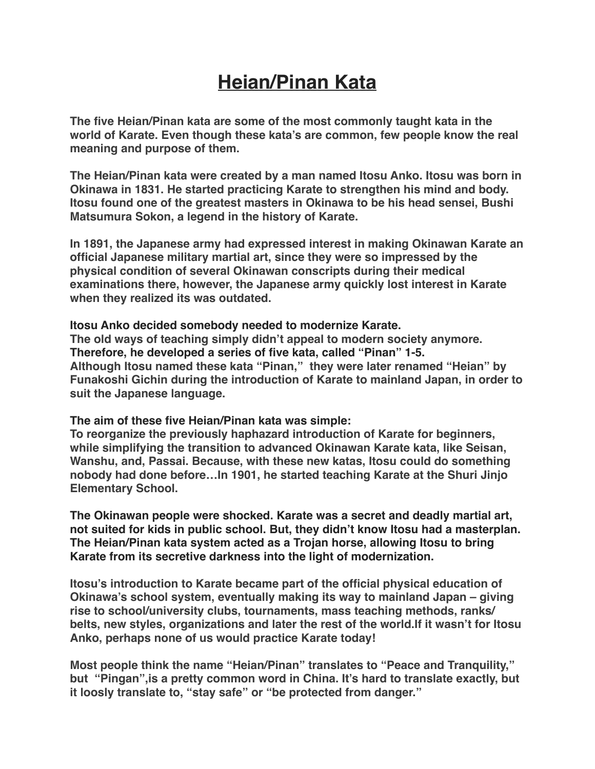## **Heian/Pinan Kata**

**The five Heian/Pinan kata are some of the most commonly taught kata in the world of Karate. Even though these kata's are common, few people know the real meaning and purpose of them.**

**The Heian/Pinan kata were created by a man named Itosu Anko. Itosu was born in Okinawa in 1831. He started practicing Karate to strengthen his mind and body. Itosu found one of the greatest masters in Okinawa to be his head sensei, Bushi Matsumura Sokon, a legend in the history of Karate.**

**In 1891, the Japanese army had expressed interest in making Okinawan Karate an official Japanese military martial art, since they were so impressed by the physical condition of several Okinawan conscripts during their medical examinations there, however, the Japanese army quickly lost interest in Karate when they realized its was outdated.**

## **Itosu Anko decided somebody needed to modernize Karate.**

**The old ways of teaching simply didn't appeal to modern society anymore. Therefore, he developed a series of five kata, called "Pinan" 1-5. Although Itosu named these kata "Pinan," they were later renamed "Heian" by Funakoshi Gichin during the introduction of Karate to mainland Japan, in order to suit the Japanese language.**

## **The aim of these five Heian/Pinan kata was simple:**

**To reorganize the previously haphazard introduction of Karate for beginners, while simplifying the transition to advanced Okinawan Karate kata, like Seisan, Wanshu, and, Passai. Because, with these new katas, Itosu could do something nobody had done before…In 1901, he started teaching Karate at the Shuri Jinjo Elementary School.**

**The Okinawan people were shocked. Karate was a secret and deadly martial art, not suited for kids in public school. But, they didn't know Itosu had a masterplan. The Heian/Pinan kata system acted as a Trojan horse, allowing Itosu to bring Karate from its secretive darkness into the light of modernization.**

**Itosu's introduction to Karate became part of the official physical education of Okinawa's school system, eventually making its way to mainland Japan – giving rise to school/university clubs, tournaments, mass teaching methods, ranks/ belts, new styles, organizations and later the rest of the world.If it wasn't for Itosu Anko, perhaps none of us would practice Karate today!**

**Most people think the name "Heian/Pinan" translates to "Peace and Tranquility," but "Pingan",is a pretty common word in China. It's hard to translate exactly, but it loosly translate to, "stay safe" or "be protected from danger."**